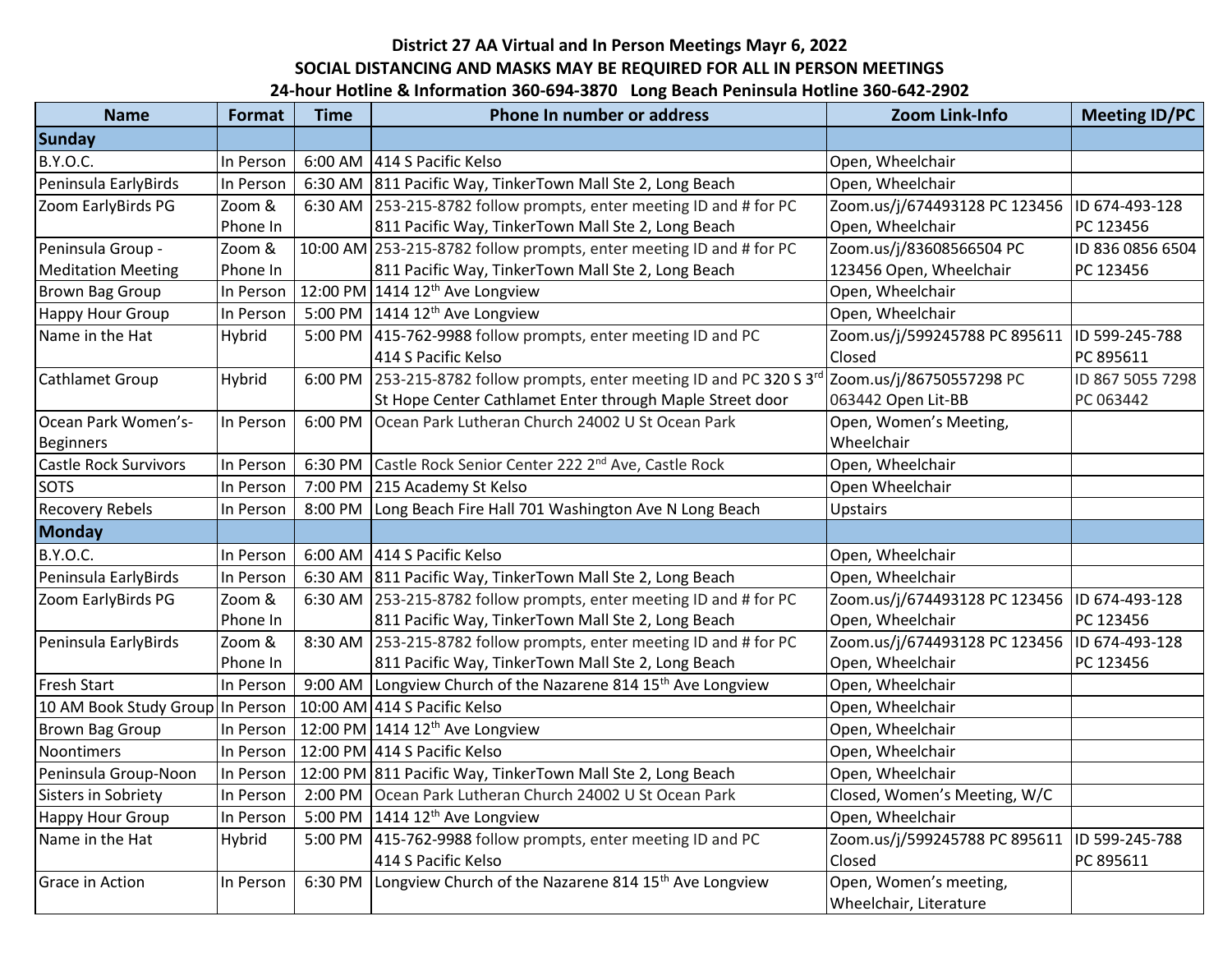## **District 27 AA Virtual and In Person Meetings Mayr 6, 2022 SOCIAL DISTANCING AND MASKS MAY BE REQUIRED FOR ALL IN PERSON MEETINGS 24-hour Hotline & Information 360-694-3870 Long Beach Peninsula Hotline 360-642-2902**

| <b>Name</b>                      | <b>Format</b> | <b>Time</b> | Phone In number or address                                                | Zoom Link-Info                | <b>Meeting ID/PC</b> |
|----------------------------------|---------------|-------------|---------------------------------------------------------------------------|-------------------------------|----------------------|
| <b>Sunday</b>                    |               |             |                                                                           |                               |                      |
| <b>B.Y.O.C.</b>                  | In Person     |             | 6:00 AM 414 S Pacific Kelso                                               | Open, Wheelchair              |                      |
| Peninsula EarlyBirds             | In Person     |             | 6:30 AM 811 Pacific Way, TinkerTown Mall Ste 2, Long Beach                | Open, Wheelchair              |                      |
| Zoom EarlyBirds PG               | Zoom &        |             | 6:30 AM 253-215-8782 follow prompts, enter meeting ID and # for PC        | Zoom.us/j/674493128 PC 123456 | ID 674-493-128       |
|                                  | Phone In      |             | 811 Pacific Way, TinkerTown Mall Ste 2, Long Beach                        | Open, Wheelchair              | PC 123456            |
| Peninsula Group -                | Zoom &        |             | 10:00 AM 253-215-8782 follow prompts, enter meeting ID and # for PC       | Zoom.us/j/83608566504 PC      | ID 836 0856 6504     |
| <b>Meditation Meeting</b>        | Phone In      |             | 811 Pacific Way, TinkerTown Mall Ste 2, Long Beach                        | 123456 Open, Wheelchair       | PC 123456            |
| <b>Brown Bag Group</b>           | In Person     |             | 12:00 PM 1414 12 <sup>th</sup> Ave Longview                               | Open, Wheelchair              |                      |
| <b>Happy Hour Group</b>          | In Person     |             | 5:00 PM $1414 12^{th}$ Ave Longview                                       | Open, Wheelchair              |                      |
| Name in the Hat                  | Hybrid        | 5:00 PM     | 415-762-9988 follow prompts, enter meeting ID and PC                      | Zoom.us/j/599245788 PC 895611 | ID 599-245-788       |
|                                  |               |             | 414 S Pacific Kelso                                                       | Closed                        | PC 895611            |
| Cathlamet Group                  | Hybrid        | 6:00 PM     | 253-215-8782 follow prompts, enter meeting ID and PC 320 S 3rd            | Zoom.us/j/86750557298 PC      | ID 867 5055 7298     |
|                                  |               |             | St Hope Center Cathlamet Enter through Maple Street door                  | 063442 Open Lit-BB            | PC 063442            |
| Ocean Park Women's-              | In Person     | 6:00 PM     | Ocean Park Lutheran Church 24002 U St Ocean Park                          | Open, Women's Meeting,        |                      |
| <b>Beginners</b>                 |               |             |                                                                           | Wheelchair                    |                      |
| <b>Castle Rock Survivors</b>     | In Person     |             | 6:30 PM Castle Rock Senior Center 222 2 <sup>nd</sup> Ave, Castle Rock    | Open, Wheelchair              |                      |
| <b>SOTS</b>                      | In Person     |             | 7:00 PM 215 Academy St Kelso                                              | Open Wheelchair               |                      |
| <b>Recovery Rebels</b>           | In Person     | 8:00 PM     | Long Beach Fire Hall 701 Washington Ave N Long Beach                      | <b>Upstairs</b>               |                      |
| Monday                           |               |             |                                                                           |                               |                      |
| <b>B.Y.O.C.</b>                  | In Person     |             | 6:00 AM 414 S Pacific Kelso                                               | Open, Wheelchair              |                      |
| Peninsula EarlyBirds             | In Person     |             | 6:30 AM   811 Pacific Way, TinkerTown Mall Ste 2, Long Beach              | Open, Wheelchair              |                      |
| Zoom EarlyBirds PG               | Zoom &        |             | 6:30 AM 253-215-8782 follow prompts, enter meeting ID and # for PC        | Zoom.us/j/674493128 PC 123456 | ID 674-493-128       |
|                                  | Phone In      |             | 811 Pacific Way, TinkerTown Mall Ste 2, Long Beach                        | Open, Wheelchair              | PC 123456            |
| Peninsula EarlyBirds             | Zoom &        |             | 8:30 AM 253-215-8782 follow prompts, enter meeting ID and # for PC        | Zoom.us/j/674493128 PC 123456 | ID 674-493-128       |
|                                  | Phone In      |             | 811 Pacific Way, TinkerTown Mall Ste 2, Long Beach                        | Open, Wheelchair              | PC 123456            |
| <b>Fresh Start</b>               | In Person     |             | 9:00 AM Longview Church of the Nazarene 814 15 <sup>th</sup> Ave Longview | Open, Wheelchair              |                      |
| 10 AM Book Study Group In Person |               |             | 10:00 AM 414 S Pacific Kelso                                              | Open, Wheelchair              |                      |
| <b>Brown Bag Group</b>           | In Person     |             | 12:00 PM 1414 12 <sup>th</sup> Ave Longview                               | Open, Wheelchair              |                      |
| <b>Noontimers</b>                | In Person     |             | 12:00 PM 414 S Pacific Kelso                                              | Open, Wheelchair              |                      |
| Peninsula Group-Noon             | In Person     |             | 12:00 PM 811 Pacific Way, TinkerTown Mall Ste 2, Long Beach               | Open, Wheelchair              |                      |
| Sisters in Sobriety              | In Person     | 2:00 PM     | Ocean Park Lutheran Church 24002 U St Ocean Park                          | Closed, Women's Meeting, W/C  |                      |
| Happy Hour Group                 | In Person     |             | 5:00 PM $\left  1414\ 12^{th}$ Ave Longview                               | Open, Wheelchair              |                      |
| Name in the Hat                  | Hybrid        |             | 5:00 PM 415-762-9988 follow prompts, enter meeting ID and PC              | Zoom.us/j/599245788 PC 895611 | ID 599-245-788       |
|                                  |               |             | 414 S Pacific Kelso                                                       | Closed                        | PC 895611            |
| <b>Grace in Action</b>           | In Person     | 6:30 PM     | Longview Church of the Nazarene 814 15 <sup>th</sup> Ave Longview         | Open, Women's meeting,        |                      |
|                                  |               |             |                                                                           | Wheelchair, Literature        |                      |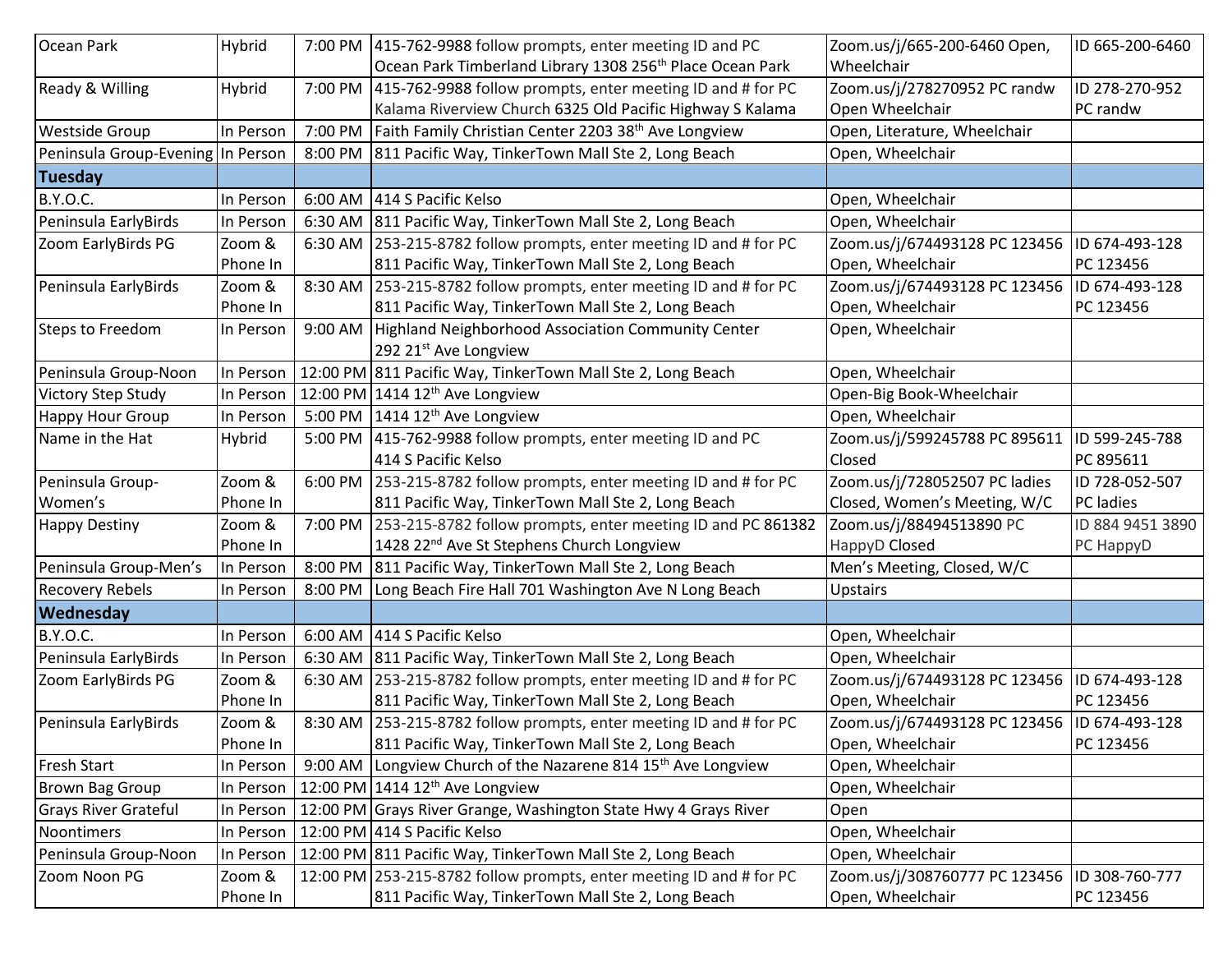| Ocean Park                        | Hybrid    |         | 7:00 PM 415-762-9988 follow prompts, enter meeting ID and PC               | Zoom.us/j/665-200-6460 Open,  | ID 665-200-6460  |
|-----------------------------------|-----------|---------|----------------------------------------------------------------------------|-------------------------------|------------------|
|                                   |           |         | Ocean Park Timberland Library 1308 256 <sup>th</sup> Place Ocean Park      | Wheelchair                    |                  |
| Ready & Willing                   | Hybrid    |         | 7:00 PM 415-762-9988 follow prompts, enter meeting ID and # for PC         | Zoom.us/j/278270952 PC randw  | ID 278-270-952   |
|                                   |           |         | Kalama Riverview Church 6325 Old Pacific Highway S Kalama                  | Open Wheelchair               | PC randw         |
| <b>Westside Group</b>             | In Person |         | 7:00 PM   Faith Family Christian Center 2203 38 <sup>th</sup> Ave Longview | Open, Literature, Wheelchair  |                  |
| Peninsula Group-Evening In Person |           |         | 8:00 PM 811 Pacific Way, TinkerTown Mall Ste 2, Long Beach                 | Open, Wheelchair              |                  |
| Tuesday                           |           |         |                                                                            |                               |                  |
| <b>B.Y.O.C.</b>                   | In Person | 6:00 AM | 414 S Pacific Kelso                                                        | Open, Wheelchair              |                  |
| Peninsula EarlyBirds              | In Person |         | 6:30 AM 811 Pacific Way, TinkerTown Mall Ste 2, Long Beach                 | Open, Wheelchair              |                  |
| Zoom EarlyBirds PG                | Zoom &    |         | 6:30 AM 253-215-8782 follow prompts, enter meeting ID and # for PC         | Zoom.us/j/674493128 PC 123456 | ID 674-493-128   |
|                                   | Phone In  |         | 811 Pacific Way, TinkerTown Mall Ste 2, Long Beach                         | Open, Wheelchair              | PC 123456        |
| Peninsula EarlyBirds              | Zoom &    | 8:30 AM | 253-215-8782 follow prompts, enter meeting ID and # for PC                 | Zoom.us/j/674493128 PC 123456 | ID 674-493-128   |
|                                   | Phone In  |         | 811 Pacific Way, TinkerTown Mall Ste 2, Long Beach                         | Open, Wheelchair              | PC 123456        |
| Steps to Freedom                  | In Person | 9:00 AM | Highland Neighborhood Association Community Center                         | Open, Wheelchair              |                  |
|                                   |           |         | 292 21 <sup>st</sup> Ave Longview                                          |                               |                  |
| Peninsula Group-Noon              | In Person |         | 12:00 PM 811 Pacific Way, TinkerTown Mall Ste 2, Long Beach                | Open, Wheelchair              |                  |
| Victory Step Study                | In Person |         | 12:00 PM 1414 $12^{th}$ Ave Longview                                       | Open-Big Book-Wheelchair      |                  |
| Happy Hour Group                  | In Person |         | 5:00 PM $\left  1414\,12^{\text{th}}$ Ave Longview                         | Open, Wheelchair              |                  |
| Name in the Hat                   | Hybrid    | 5:00 PM | 415-762-9988 follow prompts, enter meeting ID and PC                       | Zoom.us/j/599245788 PC 895611 | ID 599-245-788   |
|                                   |           |         | 414 S Pacific Kelso                                                        | Closed                        | PC 895611        |
|                                   |           |         |                                                                            |                               |                  |
| Peninsula Group-                  | Zoom &    |         | 6:00 PM 253-215-8782 follow prompts, enter meeting ID and # for PC         | Zoom.us/j/728052507 PC ladies | ID 728-052-507   |
| Women's                           | Phone In  |         | 811 Pacific Way, TinkerTown Mall Ste 2, Long Beach                         | Closed, Women's Meeting, W/C  | PC ladies        |
| <b>Happy Destiny</b>              | Zoom &    |         | 7:00 PM 253-215-8782 follow prompts, enter meeting ID and PC 861382        | Zoom.us/j/88494513890 PC      | ID 884 9451 3890 |
|                                   | Phone In  |         | 1428 22 <sup>nd</sup> Ave St Stephens Church Longview                      | HappyD Closed                 | PC HappyD        |
| Peninsula Group-Men's             | In Person |         | 8:00 PM 811 Pacific Way, TinkerTown Mall Ste 2, Long Beach                 | Men's Meeting, Closed, W/C    |                  |
| <b>Recovery Rebels</b>            | In Person | 8:00 PM | Long Beach Fire Hall 701 Washington Ave N Long Beach                       | <b>Upstairs</b>               |                  |
| Wednesday                         |           |         |                                                                            |                               |                  |
| <b>B.Y.O.C.</b>                   | In Person |         | 6:00 AM 414 S Pacific Kelso                                                | Open, Wheelchair              |                  |
| Peninsula EarlyBirds              | In Person |         | 6:30 AM 811 Pacific Way, TinkerTown Mall Ste 2, Long Beach                 | Open, Wheelchair              |                  |
| Zoom EarlyBirds PG                | Zoom &    | 6:30 AM | 253-215-8782 follow prompts, enter meeting ID and # for PC                 | Zoom.us/j/674493128 PC 123456 | ID 674-493-128   |
|                                   | Phone In  |         | 811 Pacific Way, TinkerTown Mall Ste 2, Long Beach                         | Open, Wheelchair              | PC 123456        |
| Peninsula EarlyBirds              | Zoom &    |         | 8:30 AM 253-215-8782 follow prompts, enter meeting ID and # for PC         | Zoom.us/j/674493128 PC 123456 | ID 674-493-128   |
|                                   | Phone In  |         | 811 Pacific Way, TinkerTown Mall Ste 2, Long Beach                         | Open, Wheelchair              | PC 123456        |
| <b>Fresh Start</b>                | In Person | 9:00 AM | Longview Church of the Nazarene 814 15 <sup>th</sup> Ave Longview          | Open, Wheelchair              |                  |
| <b>Brown Bag Group</b>            | In Person |         | 12:00 PM 1414 12 <sup>th</sup> Ave Longview                                | Open, Wheelchair              |                  |
| <b>Grays River Grateful</b>       | In Person |         | 12:00 PM Grays River Grange, Washington State Hwy 4 Grays River            | Open                          |                  |
| Noontimers                        | In Person |         | 12:00 PM 414 S Pacific Kelso                                               | Open, Wheelchair              |                  |
| Peninsula Group-Noon              | In Person |         | 12:00 PM 811 Pacific Way, TinkerTown Mall Ste 2, Long Beach                | Open, Wheelchair              |                  |
| Zoom Noon PG                      | Zoom &    |         | 12:00 PM 253-215-8782 follow prompts, enter meeting ID and # for PC        | Zoom.us/j/308760777 PC 123456 | ID 308-760-777   |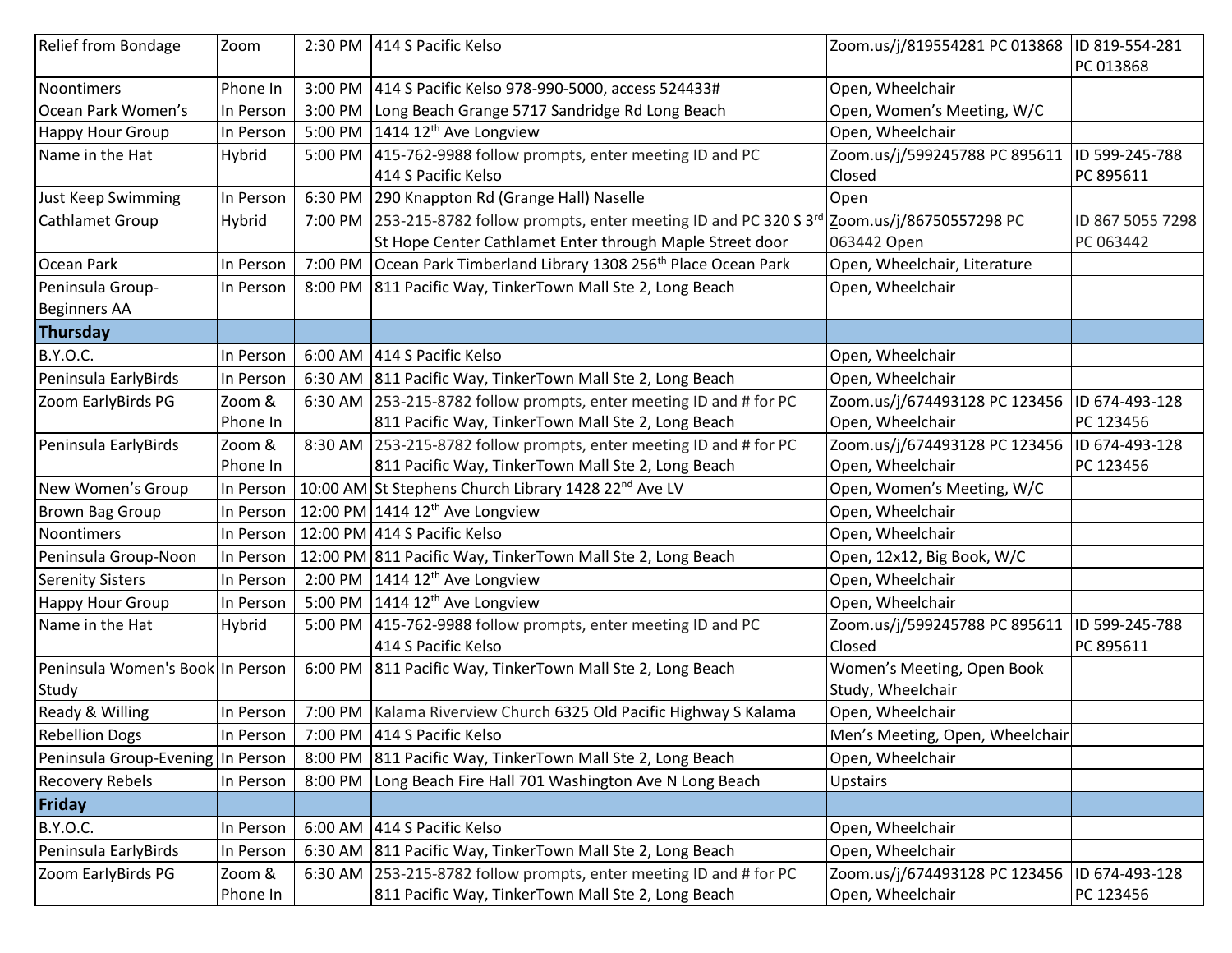| <b>Relief from Bondage</b>        | Zoom      |         | 2:30 PM 414 S Pacific Kelso                                                   | Zoom.us/j/819554281 PC 013868   | ID 819-554-281   |
|-----------------------------------|-----------|---------|-------------------------------------------------------------------------------|---------------------------------|------------------|
|                                   |           |         |                                                                               |                                 | PC 013868        |
| Noontimers                        | Phone In  |         | 3:00 PM 414 S Pacific Kelso 978-990-5000, access 524433#                      | Open, Wheelchair                |                  |
| Ocean Park Women's                | In Person | 3:00 PM | Long Beach Grange 5717 Sandridge Rd Long Beach                                | Open, Women's Meeting, W/C      |                  |
| Happy Hour Group                  | In Person |         | 5:00 PM $1414 12^{th}$ Ave Longview                                           | Open, Wheelchair                |                  |
| Name in the Hat                   | Hybrid    |         | 5:00 PM   415-762-9988 follow prompts, enter meeting ID and PC                | Zoom.us/j/599245788 PC 895611   | ID 599-245-788   |
|                                   |           |         | 414 S Pacific Kelso                                                           | Closed                          | PC 895611        |
| Just Keep Swimming                | In Person |         | 6:30 PM 290 Knappton Rd (Grange Hall) Naselle                                 | Open                            |                  |
| Cathlamet Group                   | Hybrid    |         | 7:00 PM   253-215-8782 follow prompts, enter meeting ID and PC 320 S 3rd      | Zoom.us/j/86750557298 PC        | ID 867 5055 7298 |
|                                   |           |         | St Hope Center Cathlamet Enter through Maple Street door                      | 063442 Open                     | PC 063442        |
| Ocean Park                        | In Person |         | 7:00 PM Ocean Park Timberland Library 1308 256 <sup>th</sup> Place Ocean Park | Open, Wheelchair, Literature    |                  |
| Peninsula Group-                  | In Person |         | 8:00 PM 811 Pacific Way, TinkerTown Mall Ste 2, Long Beach                    | Open, Wheelchair                |                  |
| <b>Beginners AA</b>               |           |         |                                                                               |                                 |                  |
| Thursday                          |           |         |                                                                               |                                 |                  |
| <b>B.Y.O.C.</b>                   | In Person |         | 6:00 AM 414 S Pacific Kelso                                                   | Open, Wheelchair                |                  |
| Peninsula EarlyBirds              | In Person |         | 6:30 AM 811 Pacific Way, TinkerTown Mall Ste 2, Long Beach                    | Open, Wheelchair                |                  |
| Zoom EarlyBirds PG                | Zoom &    |         | 6:30 AM 253-215-8782 follow prompts, enter meeting ID and # for PC            | Zoom.us/j/674493128 PC 123456   | ID 674-493-128   |
|                                   | Phone In  |         | 811 Pacific Way, TinkerTown Mall Ste 2, Long Beach                            | Open, Wheelchair                | PC 123456        |
| Peninsula EarlyBirds              | Zoom &    |         | 8:30 AM 253-215-8782 follow prompts, enter meeting ID and # for PC            | Zoom.us/j/674493128 PC 123456   | ID 674-493-128   |
|                                   | Phone In  |         | 811 Pacific Way, TinkerTown Mall Ste 2, Long Beach                            | Open, Wheelchair                | PC 123456        |
| New Women's Group                 | In Person |         | 10:00 AM St Stephens Church Library 1428 22 <sup>nd</sup> Ave LV              | Open, Women's Meeting, W/C      |                  |
| <b>Brown Bag Group</b>            | In Person |         | 12:00 PM 1414 12 <sup>th</sup> Ave Longview                                   | Open, Wheelchair                |                  |
| Noontimers                        | In Person |         | 12:00 PM 414 S Pacific Kelso                                                  | Open, Wheelchair                |                  |
| Peninsula Group-Noon              | In Person |         | 12:00 PM 811 Pacific Way, TinkerTown Mall Ste 2, Long Beach                   | Open, 12x12, Big Book, W/C      |                  |
| <b>Serenity Sisters</b>           | In Person |         | 2:00 PM $\vert$ 1414 12 <sup>th</sup> Ave Longview                            | Open, Wheelchair                |                  |
| Happy Hour Group                  | In Person |         | 5:00 PM $\vert$ 1414 12 <sup>th</sup> Ave Longview                            | Open, Wheelchair                |                  |
| Name in the Hat                   | Hybrid    | 5:00 PM | 415-762-9988 follow prompts, enter meeting ID and PC                          | Zoom.us/j/599245788 PC 895611   | ID 599-245-788   |
|                                   |           |         | 414 S Pacific Kelso                                                           | Closed                          | PC 895611        |
| Peninsula Women's Book In Person  |           | 6:00 PM | 811 Pacific Way, TinkerTown Mall Ste 2, Long Beach                            | Women's Meeting, Open Book      |                  |
| Study                             |           |         |                                                                               | Study, Wheelchair               |                  |
| Ready & Willing                   | In Person |         | 7:00 PM   Kalama Riverview Church 6325 Old Pacific Highway S Kalama           | Open, Wheelchair                |                  |
| <b>Rebellion Dogs</b>             | In Person |         | 7:00 PM 414 S Pacific Kelso                                                   | Men's Meeting, Open, Wheelchair |                  |
| Peninsula Group-Evening In Person |           |         | 8:00 PM 811 Pacific Way, TinkerTown Mall Ste 2, Long Beach                    | Open, Wheelchair                |                  |
| <b>Recovery Rebels</b>            | In Person | 8:00 PM | Long Beach Fire Hall 701 Washington Ave N Long Beach                          | <b>Upstairs</b>                 |                  |
| Friday                            |           |         |                                                                               |                                 |                  |
| <b>B.Y.O.C.</b>                   | In Person |         | 6:00 AM 414 S Pacific Kelso                                                   | Open, Wheelchair                |                  |
| Peninsula EarlyBirds              | In Person |         | 6:30 AM 811 Pacific Way, TinkerTown Mall Ste 2, Long Beach                    | Open, Wheelchair                |                  |
| Zoom EarlyBirds PG                | Zoom &    |         | 6:30 AM 253-215-8782 follow prompts, enter meeting ID and # for PC            | Zoom.us/j/674493128 PC 123456   | ID 674-493-128   |
|                                   | Phone In  |         | 811 Pacific Way, TinkerTown Mall Ste 2, Long Beach                            | Open, Wheelchair                | PC 123456        |